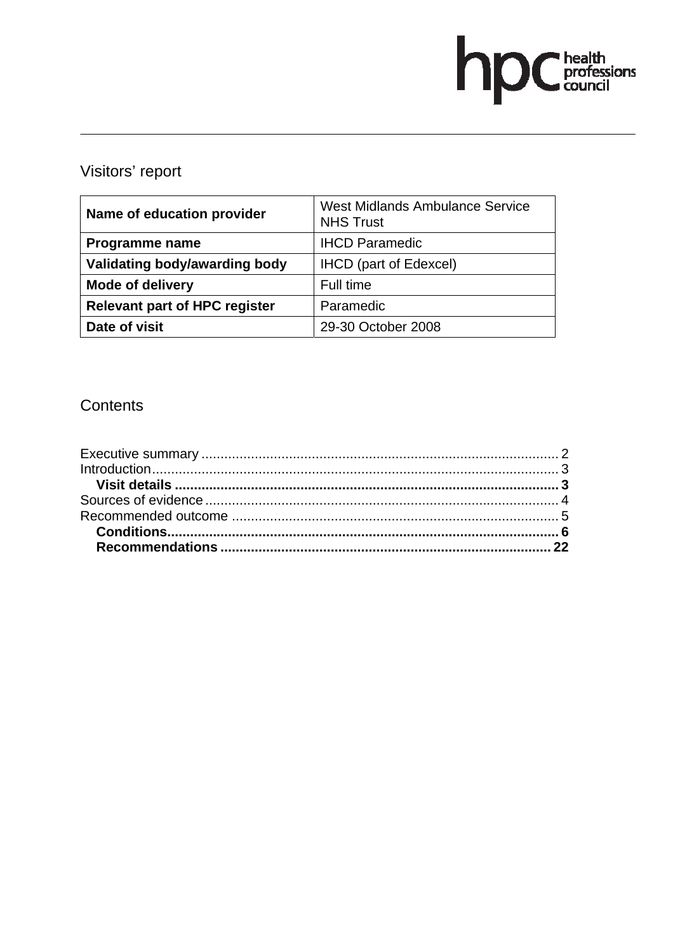# hpChealth<br>council

# Visitors' report

| Name of education provider           | <b>West Midlands Ambulance Service</b><br><b>NHS Trust</b> |
|--------------------------------------|------------------------------------------------------------|
| Programme name                       | <b>IHCD Paramedic</b>                                      |
| Validating body/awarding body        | <b>IHCD</b> (part of Edexcel)                              |
| <b>Mode of delivery</b>              | Full time                                                  |
| <b>Relevant part of HPC register</b> | Paramedic                                                  |
| Date of visit                        | 29-30 October 2008                                         |

# **Contents**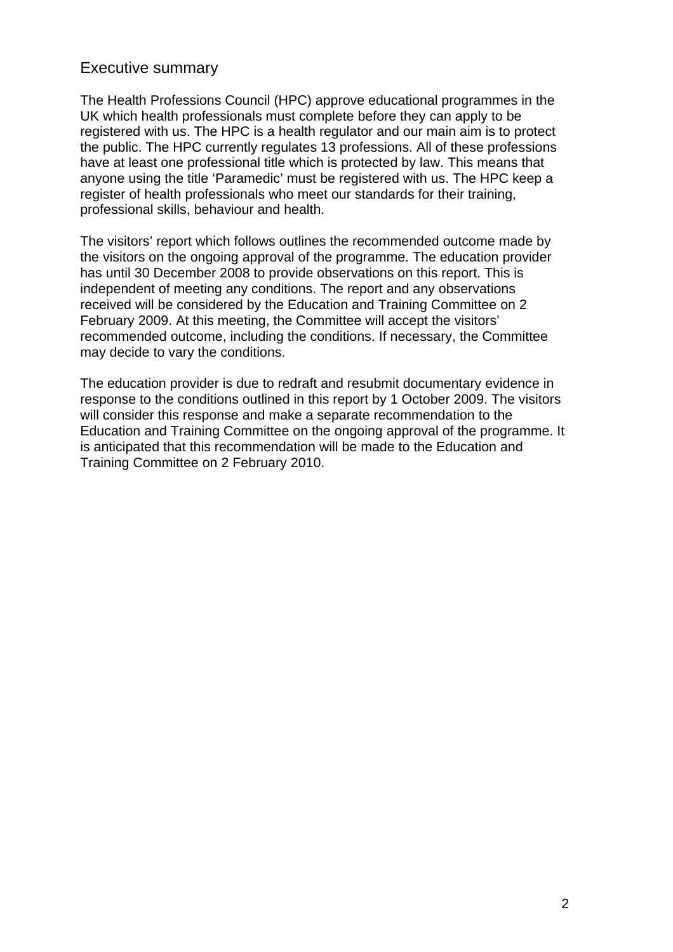# Executive summary

The Health Professions Council (HPC) approve educational programmes in the UK which health professionals must complete before they can apply to be registered with us. The HPC is a health regulator and our main aim is to protect the public. The HPC currently regulates 13 professions. All of these professions have at least one professional title which is protected by law. This means that anyone using the title 'Paramedic' must be registered with us. The HPC keep a register of health professionals who meet our standards for their training, professional skills, behaviour and health.

The visitors' report which follows outlines the recommended outcome made by the visitors on the ongoing approval of the programme. The education provider has until 30 December 2008 to provide observations on this report. This is independent of meeting any conditions. The report and any observations received will be considered by the Education and Training Committee on 2 February 2009. At this meeting, the Committee will accept the visitors' recommended outcome, including the conditions. If necessary, the Committee may decide to vary the conditions.

The education provider is due to redraft and resubmit documentary evidence in response to the conditions outlined in this report by 1 October 2009. The visitors will consider this response and make a separate recommendation to the Education and Training Committee on the ongoing approval of the programme. It is anticipated that this recommendation will be made to the Education and Training Committee on 2 February 2010.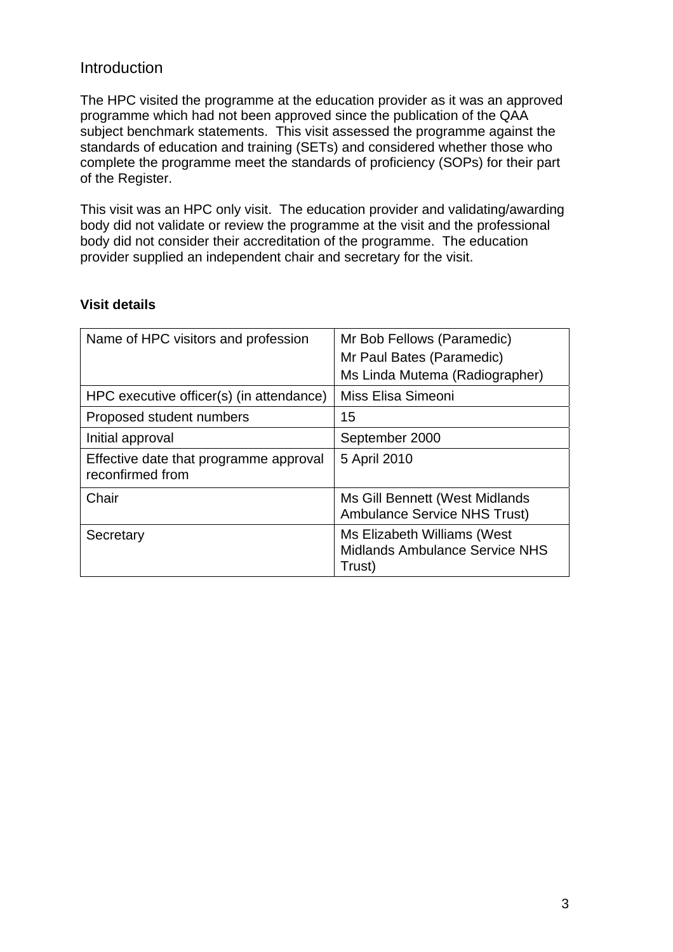# Introduction

The HPC visited the programme at the education provider as it was an approved programme which had not been approved since the publication of the QAA subject benchmark statements. This visit assessed the programme against the standards of education and training (SETs) and considered whether those who complete the programme meet the standards of proficiency (SOPs) for their part of the Register.

This visit was an HPC only visit. The education provider and validating/awarding body did not validate or review the programme at the visit and the professional body did not consider their accreditation of the programme. The education provider supplied an independent chair and secretary for the visit.

# **Visit details**

| Name of HPC visitors and profession                        | Mr Bob Fellows (Paramedic)<br>Mr Paul Bates (Paramedic)                        |
|------------------------------------------------------------|--------------------------------------------------------------------------------|
|                                                            | Ms Linda Mutema (Radiographer)                                                 |
| HPC executive officer(s) (in attendance)                   | Miss Elisa Simeoni                                                             |
| Proposed student numbers                                   | 15                                                                             |
| Initial approval                                           | September 2000                                                                 |
| Effective date that programme approval<br>reconfirmed from | 5 April 2010                                                                   |
| Chair                                                      | Ms Gill Bennett (West Midlands<br><b>Ambulance Service NHS Trust)</b>          |
| Secretary                                                  | Ms Elizabeth Williams (West<br><b>Midlands Ambulance Service NHS</b><br>Trust) |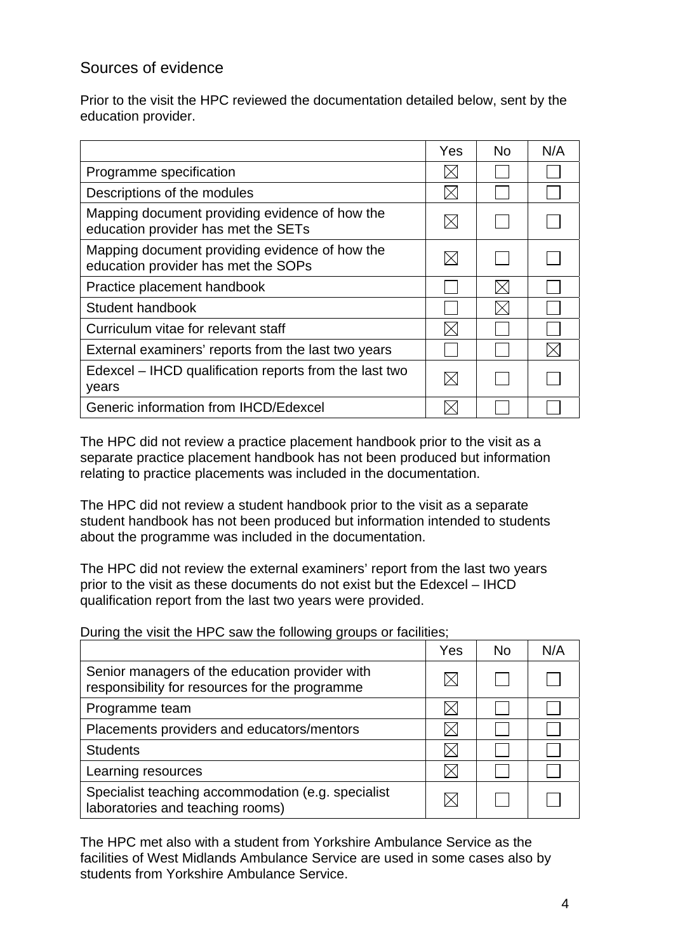# Sources of evidence

Prior to the visit the HPC reviewed the documentation detailed below, sent by the education provider.

|                                                                                       | Yes | <b>No</b> | N/A |
|---------------------------------------------------------------------------------------|-----|-----------|-----|
| Programme specification                                                               |     |           |     |
| Descriptions of the modules                                                           |     |           |     |
| Mapping document providing evidence of how the<br>education provider has met the SETs |     |           |     |
| Mapping document providing evidence of how the<br>education provider has met the SOPs |     |           |     |
| Practice placement handbook                                                           |     |           |     |
| Student handbook                                                                      |     |           |     |
| Curriculum vitae for relevant staff                                                   |     |           |     |
| External examiners' reports from the last two years                                   |     |           |     |
| Edexcel – IHCD qualification reports from the last two<br>years                       |     |           |     |
| Generic information from IHCD/Edexcel                                                 |     |           |     |

The HPC did not review a practice placement handbook prior to the visit as a separate practice placement handbook has not been produced but information relating to practice placements was included in the documentation.

The HPC did not review a student handbook prior to the visit as a separate student handbook has not been produced but information intended to students about the programme was included in the documentation.

The HPC did not review the external examiners' report from the last two years prior to the visit as these documents do not exist but the Edexcel – IHCD qualification report from the last two years were provided.

During the visit the HPC saw the following groups or facilities;

|                                                                                                  | Yes | N <sub>0</sub> | N/A |
|--------------------------------------------------------------------------------------------------|-----|----------------|-----|
| Senior managers of the education provider with<br>responsibility for resources for the programme |     |                |     |
| Programme team                                                                                   |     |                |     |
| Placements providers and educators/mentors                                                       |     |                |     |
| <b>Students</b>                                                                                  |     |                |     |
| Learning resources                                                                               |     |                |     |
| Specialist teaching accommodation (e.g. specialist<br>laboratories and teaching rooms)           |     |                |     |

The HPC met also with a student from Yorkshire Ambulance Service as the facilities of West Midlands Ambulance Service are used in some cases also by students from Yorkshire Ambulance Service.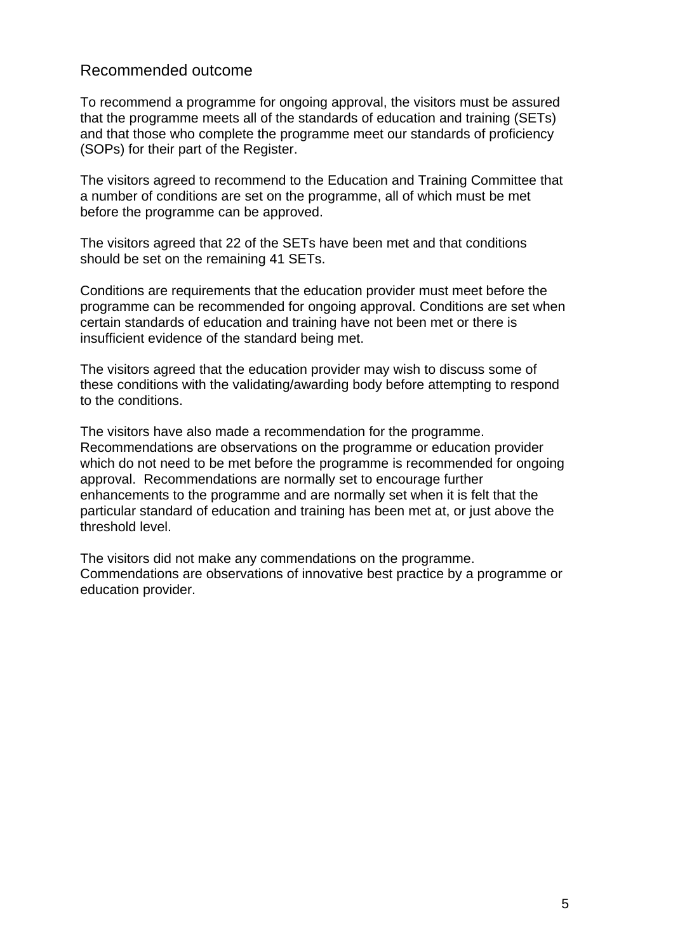# Recommended outcome

To recommend a programme for ongoing approval, the visitors must be assured that the programme meets all of the standards of education and training (SETs) and that those who complete the programme meet our standards of proficiency (SOPs) for their part of the Register.

The visitors agreed to recommend to the Education and Training Committee that a number of conditions are set on the programme, all of which must be met before the programme can be approved.

The visitors agreed that 22 of the SETs have been met and that conditions should be set on the remaining 41 SETs.

Conditions are requirements that the education provider must meet before the programme can be recommended for ongoing approval. Conditions are set when certain standards of education and training have not been met or there is insufficient evidence of the standard being met.

The visitors agreed that the education provider may wish to discuss some of these conditions with the validating/awarding body before attempting to respond to the conditions.

The visitors have also made a recommendation for the programme. Recommendations are observations on the programme or education provider which do not need to be met before the programme is recommended for ongoing approval. Recommendations are normally set to encourage further enhancements to the programme and are normally set when it is felt that the particular standard of education and training has been met at, or just above the threshold level.

The visitors did not make any commendations on the programme. Commendations are observations of innovative best practice by a programme or education provider.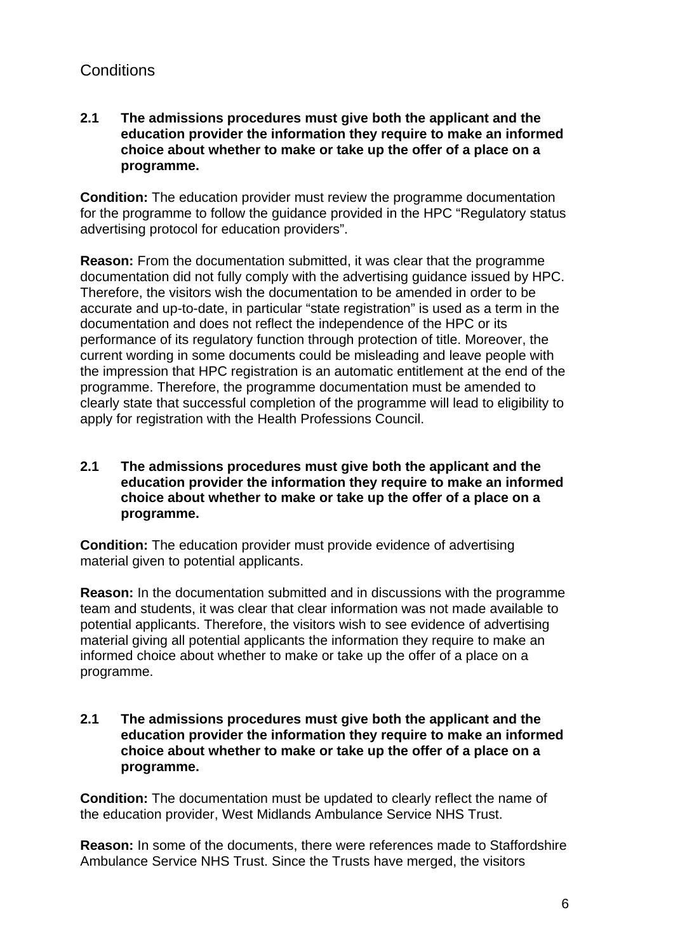# **Conditions**

# **2.1 The admissions procedures must give both the applicant and the education provider the information they require to make an informed choice about whether to make or take up the offer of a place on a programme.**

**Condition:** The education provider must review the programme documentation for the programme to follow the guidance provided in the HPC "Regulatory status advertising protocol for education providers".

**Reason:** From the documentation submitted, it was clear that the programme documentation did not fully comply with the advertising guidance issued by HPC. Therefore, the visitors wish the documentation to be amended in order to be accurate and up-to-date, in particular "state registration" is used as a term in the documentation and does not reflect the independence of the HPC or its performance of its regulatory function through protection of title. Moreover, the current wording in some documents could be misleading and leave people with the impression that HPC registration is an automatic entitlement at the end of the programme. Therefore, the programme documentation must be amended to clearly state that successful completion of the programme will lead to eligibility to apply for registration with the Health Professions Council.

# **2.1 The admissions procedures must give both the applicant and the education provider the information they require to make an informed choice about whether to make or take up the offer of a place on a programme.**

**Condition:** The education provider must provide evidence of advertising material given to potential applicants.

**Reason:** In the documentation submitted and in discussions with the programme team and students, it was clear that clear information was not made available to potential applicants. Therefore, the visitors wish to see evidence of advertising material giving all potential applicants the information they require to make an informed choice about whether to make or take up the offer of a place on a programme.

**2.1 The admissions procedures must give both the applicant and the education provider the information they require to make an informed choice about whether to make or take up the offer of a place on a programme.** 

**Condition:** The documentation must be updated to clearly reflect the name of the education provider, West Midlands Ambulance Service NHS Trust.

**Reason:** In some of the documents, there were references made to Staffordshire Ambulance Service NHS Trust. Since the Trusts have merged, the visitors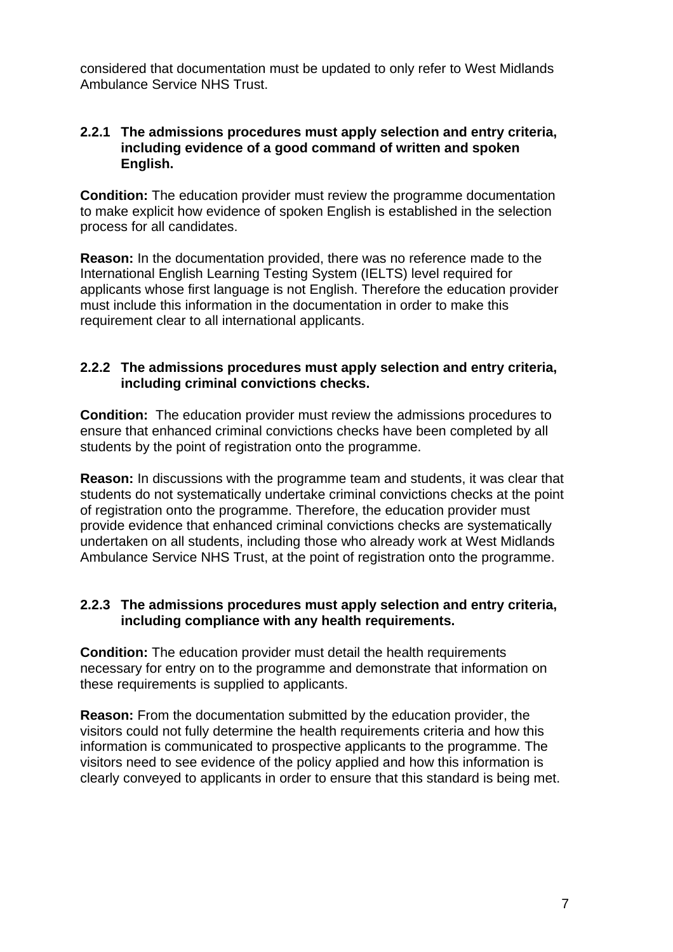considered that documentation must be updated to only refer to West Midlands Ambulance Service NHS Trust.

# **2.2.1 The admissions procedures must apply selection and entry criteria, including evidence of a good command of written and spoken English.**

**Condition:** The education provider must review the programme documentation to make explicit how evidence of spoken English is established in the selection process for all candidates.

**Reason:** In the documentation provided, there was no reference made to the International English Learning Testing System (IELTS) level required for applicants whose first language is not English. Therefore the education provider must include this information in the documentation in order to make this requirement clear to all international applicants.

# **2.2.2 The admissions procedures must apply selection and entry criteria, including criminal convictions checks.**

**Condition:** The education provider must review the admissions procedures to ensure that enhanced criminal convictions checks have been completed by all students by the point of registration onto the programme.

**Reason:** In discussions with the programme team and students, it was clear that students do not systematically undertake criminal convictions checks at the point of registration onto the programme. Therefore, the education provider must provide evidence that enhanced criminal convictions checks are systematically undertaken on all students, including those who already work at West Midlands Ambulance Service NHS Trust, at the point of registration onto the programme.

# **2.2.3 The admissions procedures must apply selection and entry criteria, including compliance with any health requirements.**

**Condition:** The education provider must detail the health requirements necessary for entry on to the programme and demonstrate that information on these requirements is supplied to applicants.

**Reason:** From the documentation submitted by the education provider, the visitors could not fully determine the health requirements criteria and how this information is communicated to prospective applicants to the programme. The visitors need to see evidence of the policy applied and how this information is clearly conveyed to applicants in order to ensure that this standard is being met.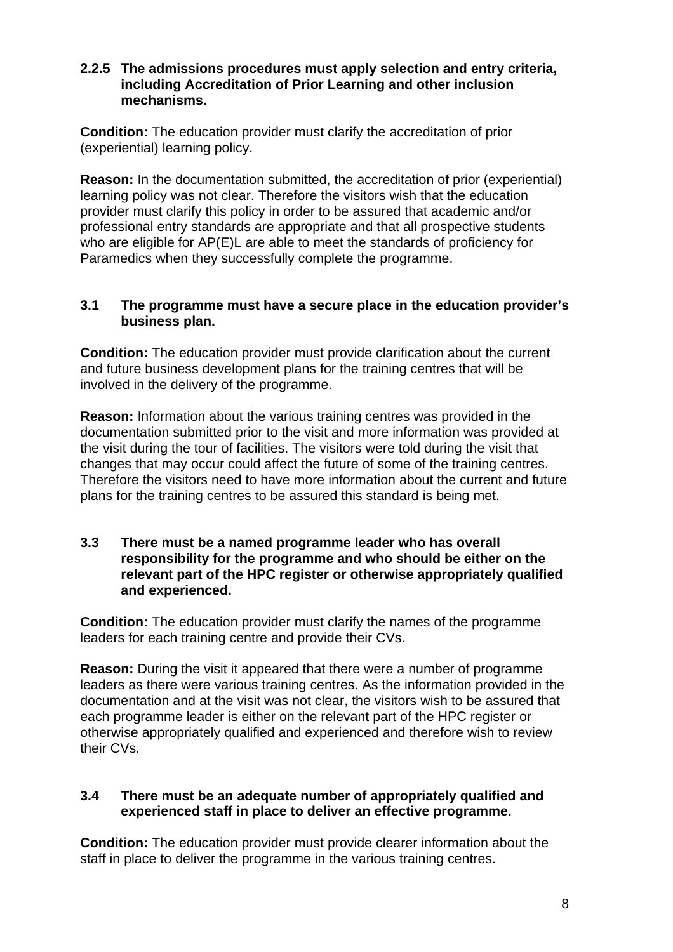# **2.2.5 The admissions procedures must apply selection and entry criteria, including Accreditation of Prior Learning and other inclusion mechanisms.**

**Condition:** The education provider must clarify the accreditation of prior (experiential) learning policy.

**Reason:** In the documentation submitted, the accreditation of prior (experiential) learning policy was not clear. Therefore the visitors wish that the education provider must clarify this policy in order to be assured that academic and/or professional entry standards are appropriate and that all prospective students who are eligible for AP(E)L are able to meet the standards of proficiency for Paramedics when they successfully complete the programme.

# **3.1 The programme must have a secure place in the education provider's business plan.**

**Condition:** The education provider must provide clarification about the current and future business development plans for the training centres that will be involved in the delivery of the programme.

**Reason:** Information about the various training centres was provided in the documentation submitted prior to the visit and more information was provided at the visit during the tour of facilities. The visitors were told during the visit that changes that may occur could affect the future of some of the training centres. Therefore the visitors need to have more information about the current and future plans for the training centres to be assured this standard is being met.

# **3.3 There must be a named programme leader who has overall responsibility for the programme and who should be either on the relevant part of the HPC register or otherwise appropriately qualified and experienced.**

**Condition:** The education provider must clarify the names of the programme leaders for each training centre and provide their CVs.

**Reason:** During the visit it appeared that there were a number of programme leaders as there were various training centres. As the information provided in the documentation and at the visit was not clear, the visitors wish to be assured that each programme leader is either on the relevant part of the HPC register or otherwise appropriately qualified and experienced and therefore wish to review their CVs.

# **3.4 There must be an adequate number of appropriately qualified and experienced staff in place to deliver an effective programme.**

**Condition:** The education provider must provide clearer information about the staff in place to deliver the programme in the various training centres.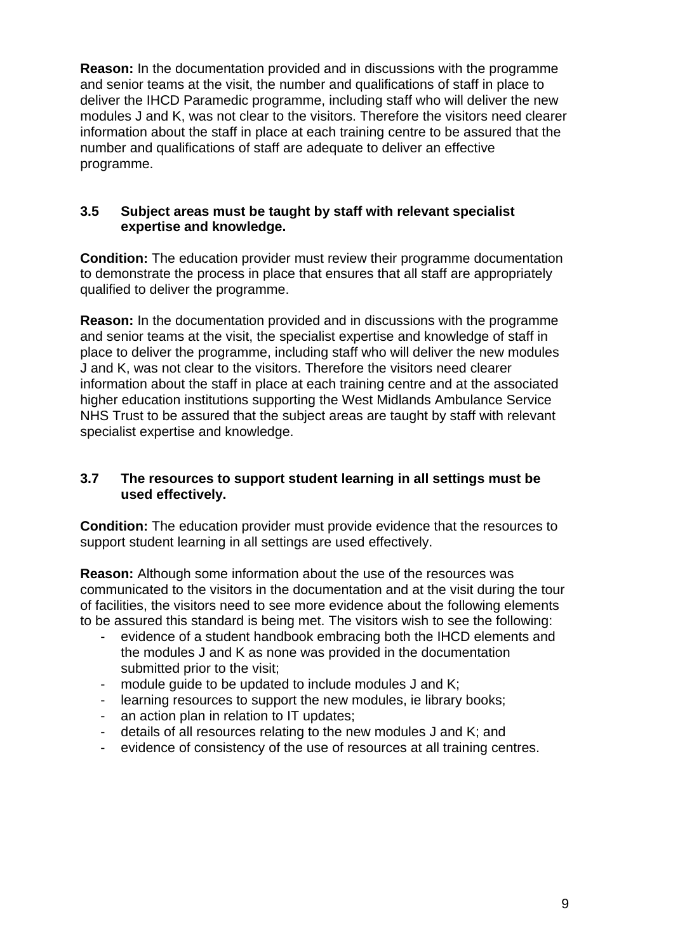**Reason:** In the documentation provided and in discussions with the programme and senior teams at the visit, the number and qualifications of staff in place to deliver the IHCD Paramedic programme, including staff who will deliver the new modules J and K, was not clear to the visitors. Therefore the visitors need clearer information about the staff in place at each training centre to be assured that the number and qualifications of staff are adequate to deliver an effective programme.

# **3.5 Subject areas must be taught by staff with relevant specialist expertise and knowledge.**

**Condition:** The education provider must review their programme documentation to demonstrate the process in place that ensures that all staff are appropriately qualified to deliver the programme.

**Reason:** In the documentation provided and in discussions with the programme and senior teams at the visit, the specialist expertise and knowledge of staff in place to deliver the programme, including staff who will deliver the new modules J and K, was not clear to the visitors. Therefore the visitors need clearer information about the staff in place at each training centre and at the associated higher education institutions supporting the West Midlands Ambulance Service NHS Trust to be assured that the subject areas are taught by staff with relevant specialist expertise and knowledge.

# **3.7 The resources to support student learning in all settings must be used effectively.**

**Condition:** The education provider must provide evidence that the resources to support student learning in all settings are used effectively.

**Reason:** Although some information about the use of the resources was communicated to the visitors in the documentation and at the visit during the tour of facilities, the visitors need to see more evidence about the following elements to be assured this standard is being met. The visitors wish to see the following:

- evidence of a student handbook embracing both the IHCD elements and the modules J and K as none was provided in the documentation submitted prior to the visit;
- module quide to be updated to include modules J and K;
- learning resources to support the new modules, ie library books;
- an action plan in relation to IT updates;
- details of all resources relating to the new modules J and K; and
- evidence of consistency of the use of resources at all training centres.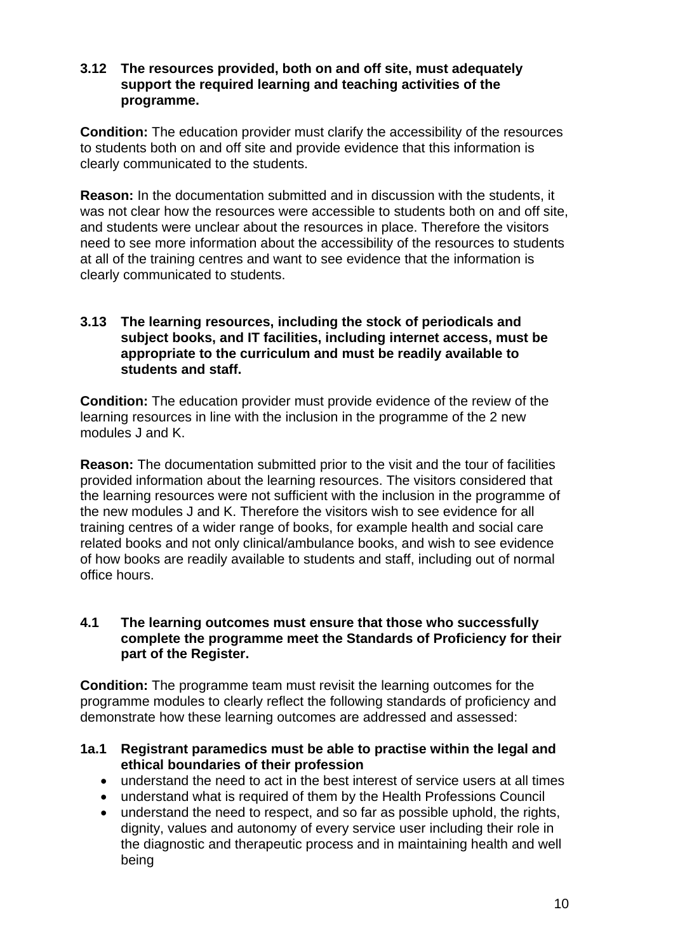## **3.12 The resources provided, both on and off site, must adequately support the required learning and teaching activities of the programme.**

**Condition:** The education provider must clarify the accessibility of the resources to students both on and off site and provide evidence that this information is clearly communicated to the students.

**Reason:** In the documentation submitted and in discussion with the students, it was not clear how the resources were accessible to students both on and off site, and students were unclear about the resources in place. Therefore the visitors need to see more information about the accessibility of the resources to students at all of the training centres and want to see evidence that the information is clearly communicated to students.

# **3.13 The learning resources, including the stock of periodicals and subject books, and IT facilities, including internet access, must be appropriate to the curriculum and must be readily available to students and staff.**

**Condition:** The education provider must provide evidence of the review of the learning resources in line with the inclusion in the programme of the 2 new modules J and K.

**Reason:** The documentation submitted prior to the visit and the tour of facilities provided information about the learning resources. The visitors considered that the learning resources were not sufficient with the inclusion in the programme of the new modules J and K. Therefore the visitors wish to see evidence for all training centres of a wider range of books, for example health and social care related books and not only clinical/ambulance books, and wish to see evidence of how books are readily available to students and staff, including out of normal office hours.

# **4.1 The learning outcomes must ensure that those who successfully complete the programme meet the Standards of Proficiency for their part of the Register.**

**Condition:** The programme team must revisit the learning outcomes for the programme modules to clearly reflect the following standards of proficiency and demonstrate how these learning outcomes are addressed and assessed:

# **1a.1 Registrant paramedics must be able to practise within the legal and ethical boundaries of their profession**

- understand the need to act in the best interest of service users at all times
- understand what is required of them by the Health Professions Council
- understand the need to respect, and so far as possible uphold, the rights, dignity, values and autonomy of every service user including their role in the diagnostic and therapeutic process and in maintaining health and well being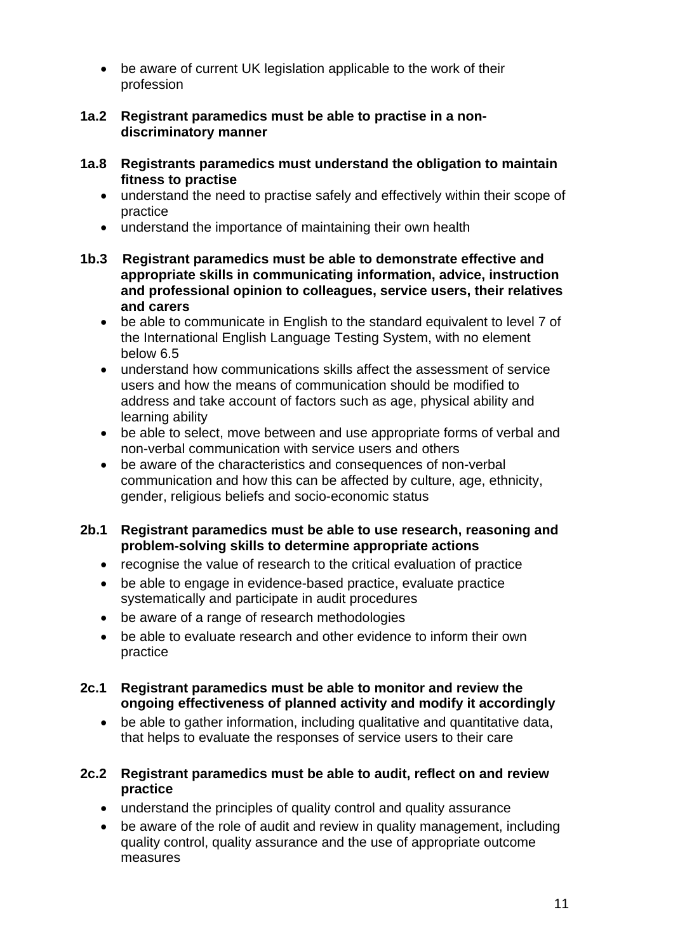- be aware of current UK legislation applicable to the work of their profession
- **1a.2 Registrant paramedics must be able to practise in a nondiscriminatory manner**
- **1a.8 Registrants paramedics must understand the obligation to maintain fitness to practise** 
	- understand the need to practise safely and effectively within their scope of practice
	- understand the importance of maintaining their own health
- **1b.3 Registrant paramedics must be able to demonstrate effective and appropriate skills in communicating information, advice, instruction and professional opinion to colleagues, service users, their relatives and carers** 
	- be able to communicate in English to the standard equivalent to level 7 of the International English Language Testing System, with no element below 6.5
	- understand how communications skills affect the assessment of service users and how the means of communication should be modified to address and take account of factors such as age, physical ability and learning ability
	- be able to select, move between and use appropriate forms of verbal and non-verbal communication with service users and others
	- be aware of the characteristics and consequences of non-verbal communication and how this can be affected by culture, age, ethnicity, gender, religious beliefs and socio-economic status

# **2b.1 Registrant paramedics must be able to use research, reasoning and problem-solving skills to determine appropriate actions**

- recognise the value of research to the critical evaluation of practice
- be able to engage in evidence-based practice, evaluate practice systematically and participate in audit procedures
- be aware of a range of research methodologies
- be able to evaluate research and other evidence to inform their own practice
- **2c.1 Registrant paramedics must be able to monitor and review the ongoing effectiveness of planned activity and modify it accordingly** 
	- be able to gather information, including qualitative and quantitative data, that helps to evaluate the responses of service users to their care
- **2c.2 Registrant paramedics must be able to audit, reflect on and review practice** 
	- understand the principles of quality control and quality assurance
	- be aware of the role of audit and review in quality management, including quality control, quality assurance and the use of appropriate outcome measures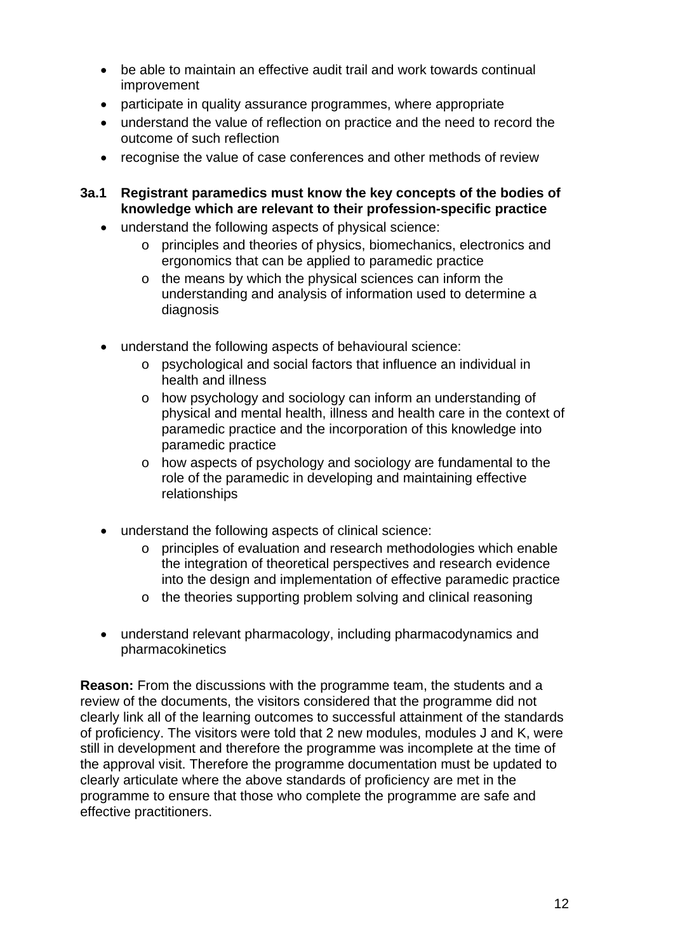- be able to maintain an effective audit trail and work towards continual improvement
- participate in quality assurance programmes, where appropriate
- understand the value of reflection on practice and the need to record the outcome of such reflection
- recognise the value of case conferences and other methods of review
- **3a.1 Registrant paramedics must know the key concepts of the bodies of knowledge which are relevant to their profession-specific practice** 
	- understand the following aspects of physical science:
		- o principles and theories of physics, biomechanics, electronics and ergonomics that can be applied to paramedic practice
		- o the means by which the physical sciences can inform the understanding and analysis of information used to determine a diagnosis
	- understand the following aspects of behavioural science:
		- o psychological and social factors that influence an individual in health and illness
		- o how psychology and sociology can inform an understanding of physical and mental health, illness and health care in the context of paramedic practice and the incorporation of this knowledge into paramedic practice
		- o how aspects of psychology and sociology are fundamental to the role of the paramedic in developing and maintaining effective relationships
	- understand the following aspects of clinical science:
		- o principles of evaluation and research methodologies which enable the integration of theoretical perspectives and research evidence into the design and implementation of effective paramedic practice
		- o the theories supporting problem solving and clinical reasoning
	- understand relevant pharmacology, including pharmacodynamics and pharmacokinetics

**Reason:** From the discussions with the programme team, the students and a review of the documents, the visitors considered that the programme did not clearly link all of the learning outcomes to successful attainment of the standards of proficiency. The visitors were told that 2 new modules, modules J and K, were still in development and therefore the programme was incomplete at the time of the approval visit. Therefore the programme documentation must be updated to clearly articulate where the above standards of proficiency are met in the programme to ensure that those who complete the programme are safe and effective practitioners.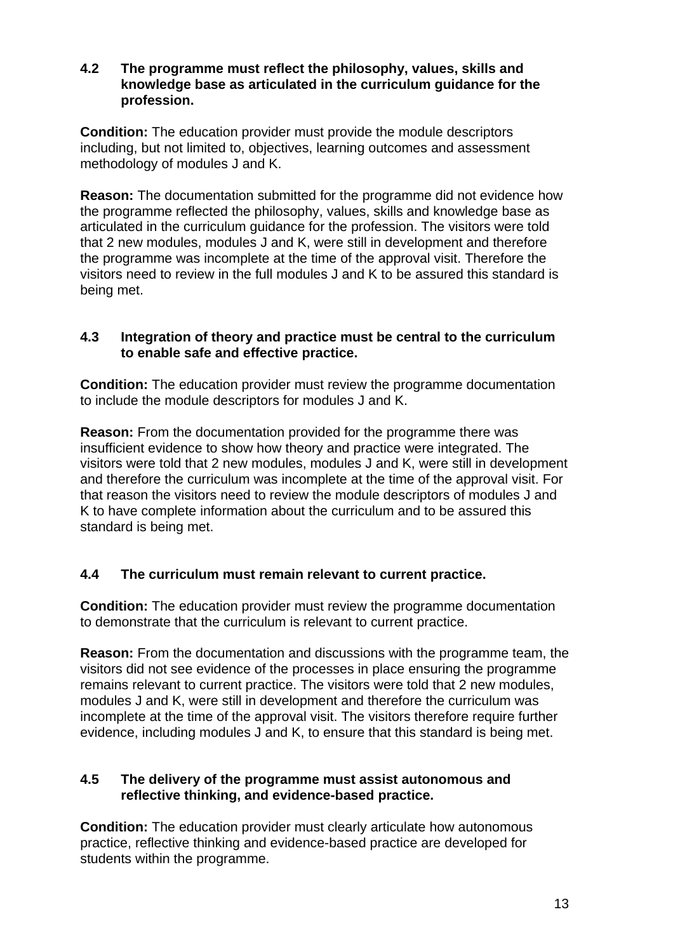# **4.2 The programme must reflect the philosophy, values, skills and knowledge base as articulated in the curriculum guidance for the profession.**

**Condition:** The education provider must provide the module descriptors including, but not limited to, objectives, learning outcomes and assessment methodology of modules J and K.

**Reason:** The documentation submitted for the programme did not evidence how the programme reflected the philosophy, values, skills and knowledge base as articulated in the curriculum guidance for the profession. The visitors were told that 2 new modules, modules J and K, were still in development and therefore the programme was incomplete at the time of the approval visit. Therefore the visitors need to review in the full modules J and K to be assured this standard is being met.

# **4.3 Integration of theory and practice must be central to the curriculum to enable safe and effective practice.**

**Condition:** The education provider must review the programme documentation to include the module descriptors for modules J and K.

**Reason:** From the documentation provided for the programme there was insufficient evidence to show how theory and practice were integrated. The visitors were told that 2 new modules, modules J and K, were still in development and therefore the curriculum was incomplete at the time of the approval visit. For that reason the visitors need to review the module descriptors of modules J and K to have complete information about the curriculum and to be assured this standard is being met.

# **4.4 The curriculum must remain relevant to current practice.**

**Condition:** The education provider must review the programme documentation to demonstrate that the curriculum is relevant to current practice.

**Reason:** From the documentation and discussions with the programme team, the visitors did not see evidence of the processes in place ensuring the programme remains relevant to current practice. The visitors were told that 2 new modules, modules J and K, were still in development and therefore the curriculum was incomplete at the time of the approval visit. The visitors therefore require further evidence, including modules J and K, to ensure that this standard is being met.

# **4.5 The delivery of the programme must assist autonomous and reflective thinking, and evidence-based practice.**

**Condition:** The education provider must clearly articulate how autonomous practice, reflective thinking and evidence-based practice are developed for students within the programme.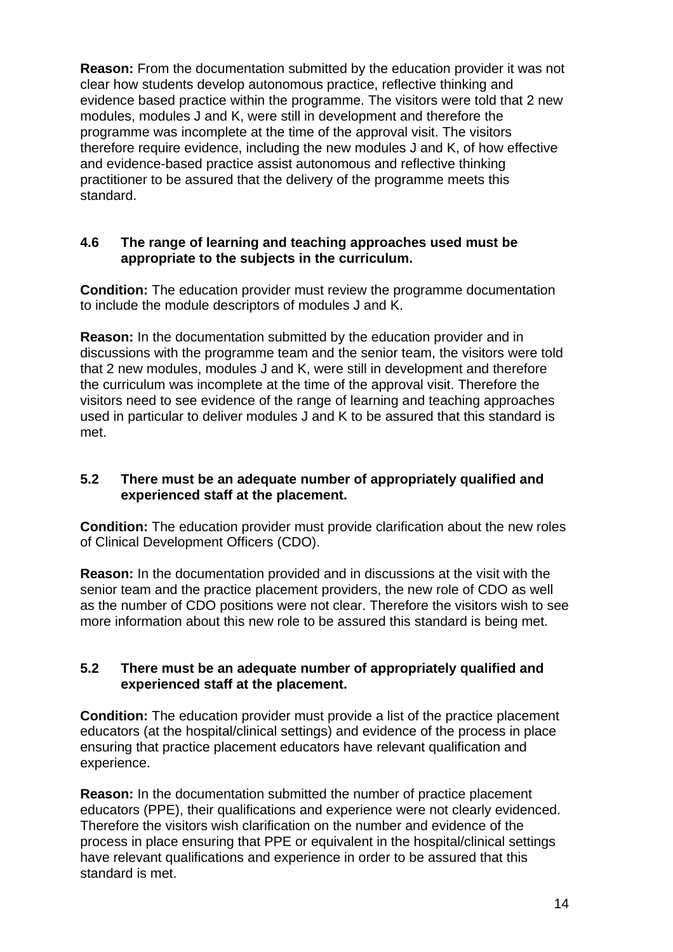**Reason:** From the documentation submitted by the education provider it was not clear how students develop autonomous practice, reflective thinking and evidence based practice within the programme. The visitors were told that 2 new modules, modules J and K, were still in development and therefore the programme was incomplete at the time of the approval visit. The visitors therefore require evidence, including the new modules J and K, of how effective and evidence-based practice assist autonomous and reflective thinking practitioner to be assured that the delivery of the programme meets this standard.

# **4.6 The range of learning and teaching approaches used must be appropriate to the subjects in the curriculum.**

**Condition:** The education provider must review the programme documentation to include the module descriptors of modules J and K.

**Reason:** In the documentation submitted by the education provider and in discussions with the programme team and the senior team, the visitors were told that 2 new modules, modules J and K, were still in development and therefore the curriculum was incomplete at the time of the approval visit. Therefore the visitors need to see evidence of the range of learning and teaching approaches used in particular to deliver modules J and K to be assured that this standard is met.

# **5.2 There must be an adequate number of appropriately qualified and experienced staff at the placement.**

**Condition:** The education provider must provide clarification about the new roles of Clinical Development Officers (CDO).

**Reason:** In the documentation provided and in discussions at the visit with the senior team and the practice placement providers, the new role of CDO as well as the number of CDO positions were not clear. Therefore the visitors wish to see more information about this new role to be assured this standard is being met.

# **5.2 There must be an adequate number of appropriately qualified and experienced staff at the placement.**

**Condition:** The education provider must provide a list of the practice placement educators (at the hospital/clinical settings) and evidence of the process in place ensuring that practice placement educators have relevant qualification and experience.

**Reason:** In the documentation submitted the number of practice placement educators (PPE), their qualifications and experience were not clearly evidenced. Therefore the visitors wish clarification on the number and evidence of the process in place ensuring that PPE or equivalent in the hospital/clinical settings have relevant qualifications and experience in order to be assured that this standard is met.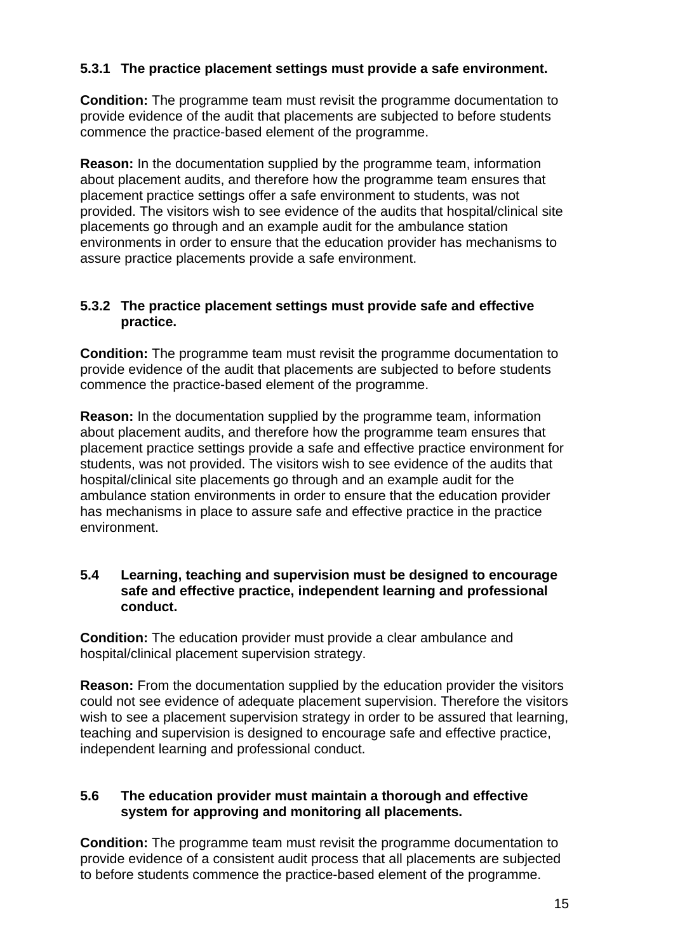# **5.3.1 The practice placement settings must provide a safe environment.**

**Condition:** The programme team must revisit the programme documentation to provide evidence of the audit that placements are subjected to before students commence the practice-based element of the programme.

**Reason:** In the documentation supplied by the programme team, information about placement audits, and therefore how the programme team ensures that placement practice settings offer a safe environment to students, was not provided. The visitors wish to see evidence of the audits that hospital/clinical site placements go through and an example audit for the ambulance station environments in order to ensure that the education provider has mechanisms to assure practice placements provide a safe environment.

#### **5.3.2 The practice placement settings must provide safe and effective practice.**

**Condition:** The programme team must revisit the programme documentation to provide evidence of the audit that placements are subjected to before students commence the practice-based element of the programme.

**Reason:** In the documentation supplied by the programme team, information about placement audits, and therefore how the programme team ensures that placement practice settings provide a safe and effective practice environment for students, was not provided. The visitors wish to see evidence of the audits that hospital/clinical site placements go through and an example audit for the ambulance station environments in order to ensure that the education provider has mechanisms in place to assure safe and effective practice in the practice environment.

#### **5.4 Learning, teaching and supervision must be designed to encourage safe and effective practice, independent learning and professional conduct.**

**Condition:** The education provider must provide a clear ambulance and hospital/clinical placement supervision strategy.

**Reason:** From the documentation supplied by the education provider the visitors could not see evidence of adequate placement supervision. Therefore the visitors wish to see a placement supervision strategy in order to be assured that learning, teaching and supervision is designed to encourage safe and effective practice, independent learning and professional conduct.

# **5.6 The education provider must maintain a thorough and effective system for approving and monitoring all placements.**

**Condition:** The programme team must revisit the programme documentation to provide evidence of a consistent audit process that all placements are subjected to before students commence the practice-based element of the programme.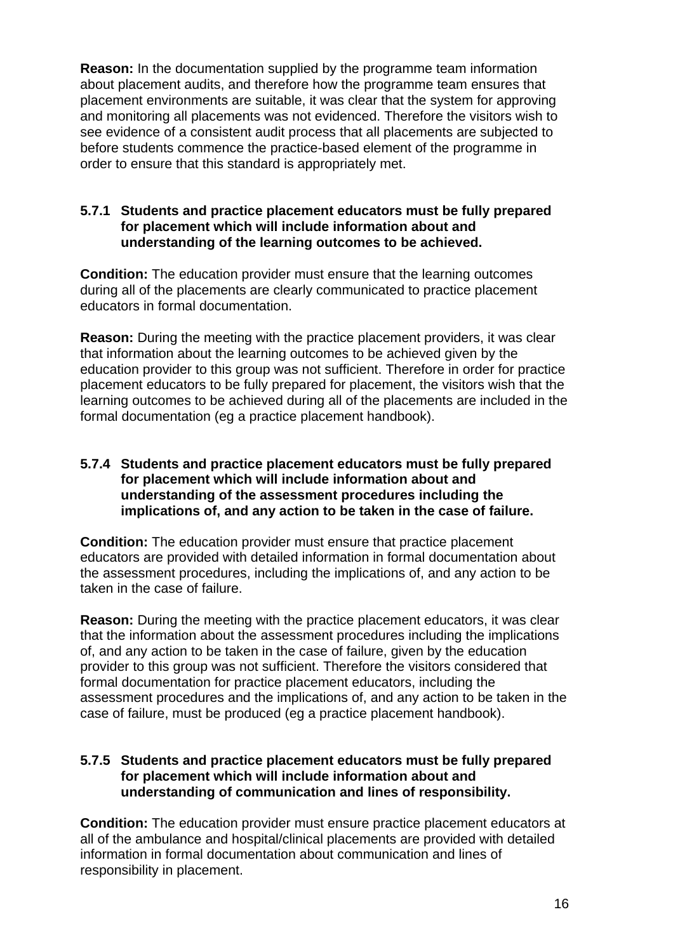**Reason:** In the documentation supplied by the programme team information about placement audits, and therefore how the programme team ensures that placement environments are suitable, it was clear that the system for approving and monitoring all placements was not evidenced. Therefore the visitors wish to see evidence of a consistent audit process that all placements are subjected to before students commence the practice-based element of the programme in order to ensure that this standard is appropriately met.

# **5.7.1 Students and practice placement educators must be fully prepared for placement which will include information about and understanding of the learning outcomes to be achieved.**

**Condition:** The education provider must ensure that the learning outcomes during all of the placements are clearly communicated to practice placement educators in formal documentation.

**Reason:** During the meeting with the practice placement providers, it was clear that information about the learning outcomes to be achieved given by the education provider to this group was not sufficient. Therefore in order for practice placement educators to be fully prepared for placement, the visitors wish that the learning outcomes to be achieved during all of the placements are included in the formal documentation (eg a practice placement handbook).

#### **5.7.4 Students and practice placement educators must be fully prepared for placement which will include information about and understanding of the assessment procedures including the implications of, and any action to be taken in the case of failure.**

**Condition:** The education provider must ensure that practice placement educators are provided with detailed information in formal documentation about the assessment procedures, including the implications of, and any action to be taken in the case of failure.

**Reason:** During the meeting with the practice placement educators, it was clear that the information about the assessment procedures including the implications of, and any action to be taken in the case of failure, given by the education provider to this group was not sufficient. Therefore the visitors considered that formal documentation for practice placement educators, including the assessment procedures and the implications of, and any action to be taken in the case of failure, must be produced (eg a practice placement handbook).

# **5.7.5 Students and practice placement educators must be fully prepared for placement which will include information about and understanding of communication and lines of responsibility.**

**Condition:** The education provider must ensure practice placement educators at all of the ambulance and hospital/clinical placements are provided with detailed information in formal documentation about communication and lines of responsibility in placement.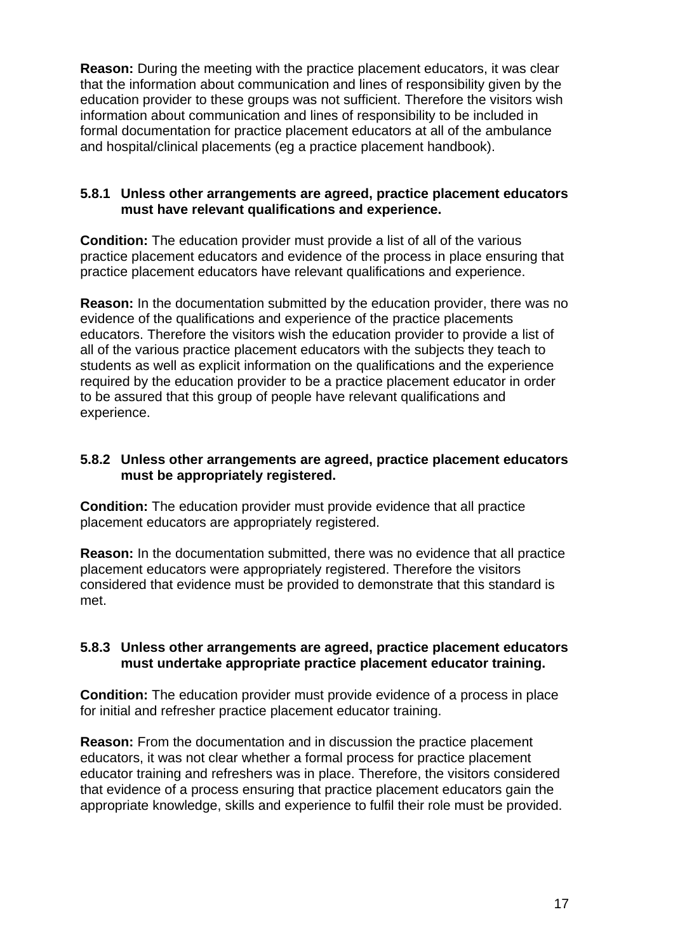**Reason:** During the meeting with the practice placement educators, it was clear that the information about communication and lines of responsibility given by the education provider to these groups was not sufficient. Therefore the visitors wish information about communication and lines of responsibility to be included in formal documentation for practice placement educators at all of the ambulance and hospital/clinical placements (eg a practice placement handbook).

# **5.8.1 Unless other arrangements are agreed, practice placement educators must have relevant qualifications and experience.**

**Condition:** The education provider must provide a list of all of the various practice placement educators and evidence of the process in place ensuring that practice placement educators have relevant qualifications and experience.

**Reason:** In the documentation submitted by the education provider, there was no evidence of the qualifications and experience of the practice placements educators. Therefore the visitors wish the education provider to provide a list of all of the various practice placement educators with the subjects they teach to students as well as explicit information on the qualifications and the experience required by the education provider to be a practice placement educator in order to be assured that this group of people have relevant qualifications and experience.

# **5.8.2 Unless other arrangements are agreed, practice placement educators must be appropriately registered.**

**Condition:** The education provider must provide evidence that all practice placement educators are appropriately registered.

**Reason:** In the documentation submitted, there was no evidence that all practice placement educators were appropriately registered. Therefore the visitors considered that evidence must be provided to demonstrate that this standard is met.

# **5.8.3 Unless other arrangements are agreed, practice placement educators must undertake appropriate practice placement educator training.**

**Condition:** The education provider must provide evidence of a process in place for initial and refresher practice placement educator training.

**Reason:** From the documentation and in discussion the practice placement educators, it was not clear whether a formal process for practice placement educator training and refreshers was in place. Therefore, the visitors considered that evidence of a process ensuring that practice placement educators gain the appropriate knowledge, skills and experience to fulfil their role must be provided.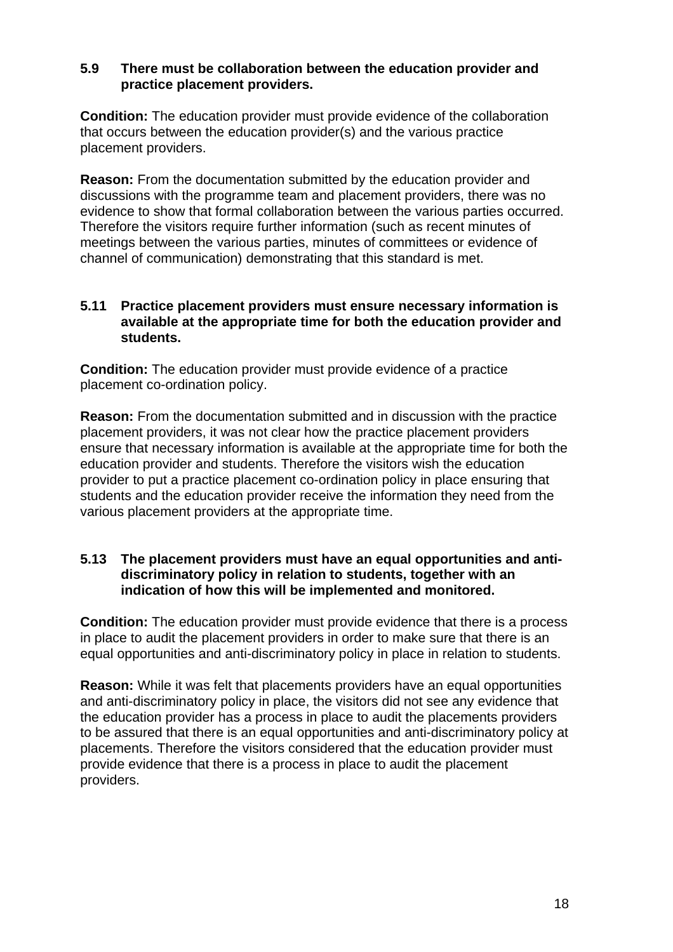# **5.9 There must be collaboration between the education provider and practice placement providers.**

**Condition:** The education provider must provide evidence of the collaboration that occurs between the education provider(s) and the various practice placement providers.

**Reason:** From the documentation submitted by the education provider and discussions with the programme team and placement providers, there was no evidence to show that formal collaboration between the various parties occurred. Therefore the visitors require further information (such as recent minutes of meetings between the various parties, minutes of committees or evidence of channel of communication) demonstrating that this standard is met.

# **5.11 Practice placement providers must ensure necessary information is available at the appropriate time for both the education provider and students.**

**Condition:** The education provider must provide evidence of a practice placement co-ordination policy.

**Reason:** From the documentation submitted and in discussion with the practice placement providers, it was not clear how the practice placement providers ensure that necessary information is available at the appropriate time for both the education provider and students. Therefore the visitors wish the education provider to put a practice placement co-ordination policy in place ensuring that students and the education provider receive the information they need from the various placement providers at the appropriate time.

# **5.13 The placement providers must have an equal opportunities and antidiscriminatory policy in relation to students, together with an indication of how this will be implemented and monitored.**

**Condition:** The education provider must provide evidence that there is a process in place to audit the placement providers in order to make sure that there is an equal opportunities and anti-discriminatory policy in place in relation to students.

**Reason:** While it was felt that placements providers have an equal opportunities and anti-discriminatory policy in place, the visitors did not see any evidence that the education provider has a process in place to audit the placements providers to be assured that there is an equal opportunities and anti-discriminatory policy at placements. Therefore the visitors considered that the education provider must provide evidence that there is a process in place to audit the placement providers.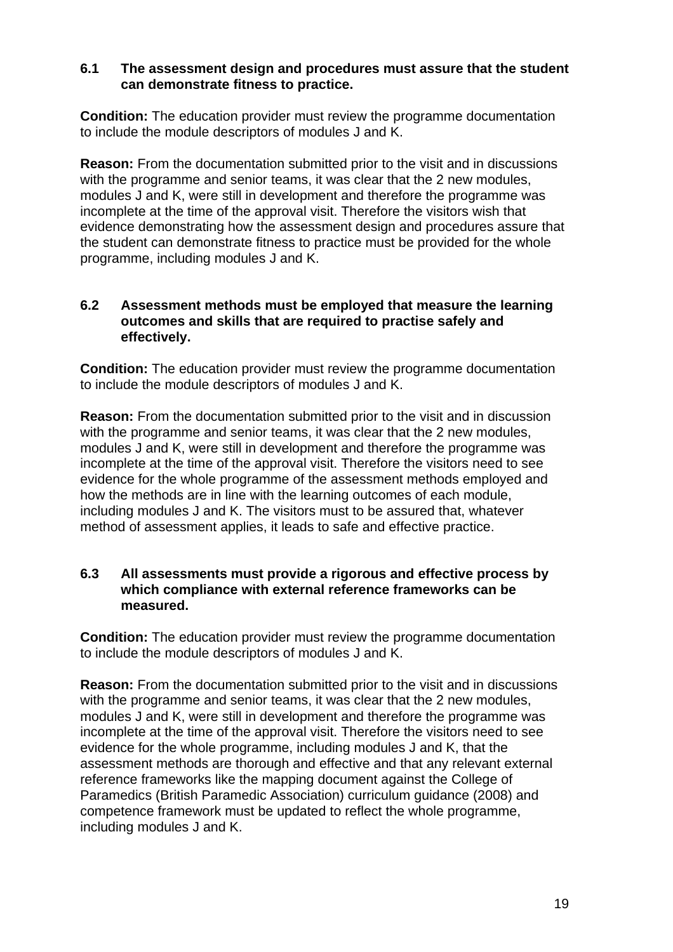# **6.1 The assessment design and procedures must assure that the student can demonstrate fitness to practice.**

**Condition:** The education provider must review the programme documentation to include the module descriptors of modules J and K.

**Reason:** From the documentation submitted prior to the visit and in discussions with the programme and senior teams, it was clear that the 2 new modules, modules J and K, were still in development and therefore the programme was incomplete at the time of the approval visit. Therefore the visitors wish that evidence demonstrating how the assessment design and procedures assure that the student can demonstrate fitness to practice must be provided for the whole programme, including modules J and K.

# **6.2 Assessment methods must be employed that measure the learning outcomes and skills that are required to practise safely and effectively.**

**Condition:** The education provider must review the programme documentation to include the module descriptors of modules J and K.

**Reason:** From the documentation submitted prior to the visit and in discussion with the programme and senior teams, it was clear that the 2 new modules, modules J and K, were still in development and therefore the programme was incomplete at the time of the approval visit. Therefore the visitors need to see evidence for the whole programme of the assessment methods employed and how the methods are in line with the learning outcomes of each module, including modules J and K. The visitors must to be assured that, whatever method of assessment applies, it leads to safe and effective practice.

# **6.3 All assessments must provide a rigorous and effective process by which compliance with external reference frameworks can be measured.**

**Condition:** The education provider must review the programme documentation to include the module descriptors of modules J and K.

**Reason:** From the documentation submitted prior to the visit and in discussions with the programme and senior teams, it was clear that the 2 new modules, modules J and K, were still in development and therefore the programme was incomplete at the time of the approval visit. Therefore the visitors need to see evidence for the whole programme, including modules J and K, that the assessment methods are thorough and effective and that any relevant external reference frameworks like the mapping document against the College of Paramedics (British Paramedic Association) curriculum guidance (2008) and competence framework must be updated to reflect the whole programme, including modules J and K.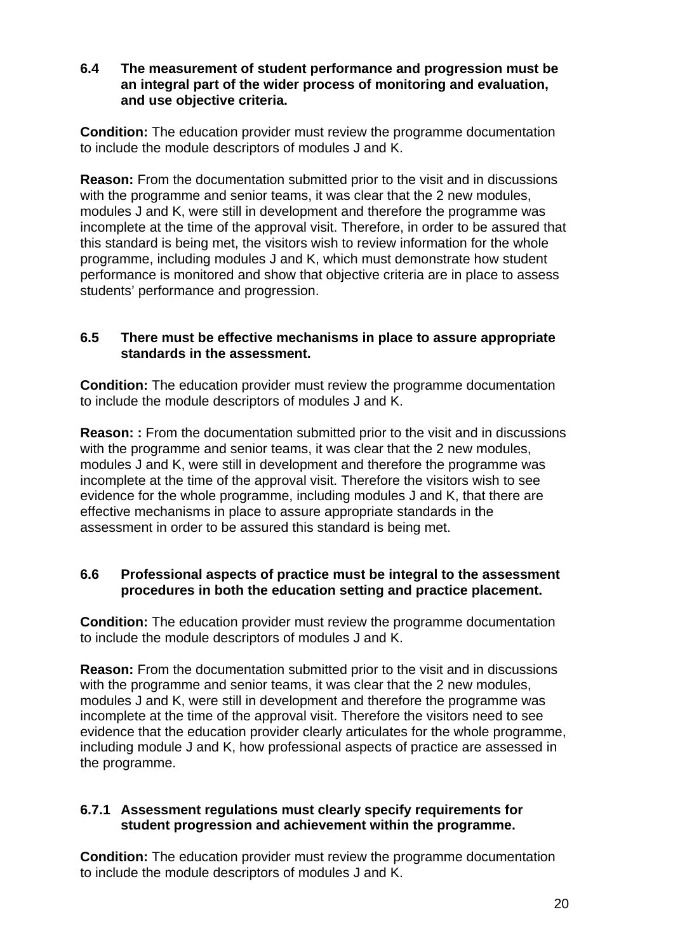# **6.4 The measurement of student performance and progression must be an integral part of the wider process of monitoring and evaluation, and use objective criteria.**

**Condition:** The education provider must review the programme documentation to include the module descriptors of modules J and K.

**Reason:** From the documentation submitted prior to the visit and in discussions with the programme and senior teams, it was clear that the 2 new modules, modules J and K, were still in development and therefore the programme was incomplete at the time of the approval visit. Therefore, in order to be assured that this standard is being met, the visitors wish to review information for the whole programme, including modules J and K, which must demonstrate how student performance is monitored and show that objective criteria are in place to assess students' performance and progression.

# **6.5 There must be effective mechanisms in place to assure appropriate standards in the assessment.**

**Condition:** The education provider must review the programme documentation to include the module descriptors of modules J and K.

**Reason:: From the documentation submitted prior to the visit and in discussions** with the programme and senior teams, it was clear that the 2 new modules, modules J and K, were still in development and therefore the programme was incomplete at the time of the approval visit. Therefore the visitors wish to see evidence for the whole programme, including modules J and K, that there are effective mechanisms in place to assure appropriate standards in the assessment in order to be assured this standard is being met.

# **6.6 Professional aspects of practice must be integral to the assessment procedures in both the education setting and practice placement.**

**Condition:** The education provider must review the programme documentation to include the module descriptors of modules J and K.

**Reason:** From the documentation submitted prior to the visit and in discussions with the programme and senior teams, it was clear that the 2 new modules, modules J and K, were still in development and therefore the programme was incomplete at the time of the approval visit. Therefore the visitors need to see evidence that the education provider clearly articulates for the whole programme, including module J and K, how professional aspects of practice are assessed in the programme.

# **6.7.1 Assessment regulations must clearly specify requirements for student progression and achievement within the programme.**

**Condition:** The education provider must review the programme documentation to include the module descriptors of modules J and K.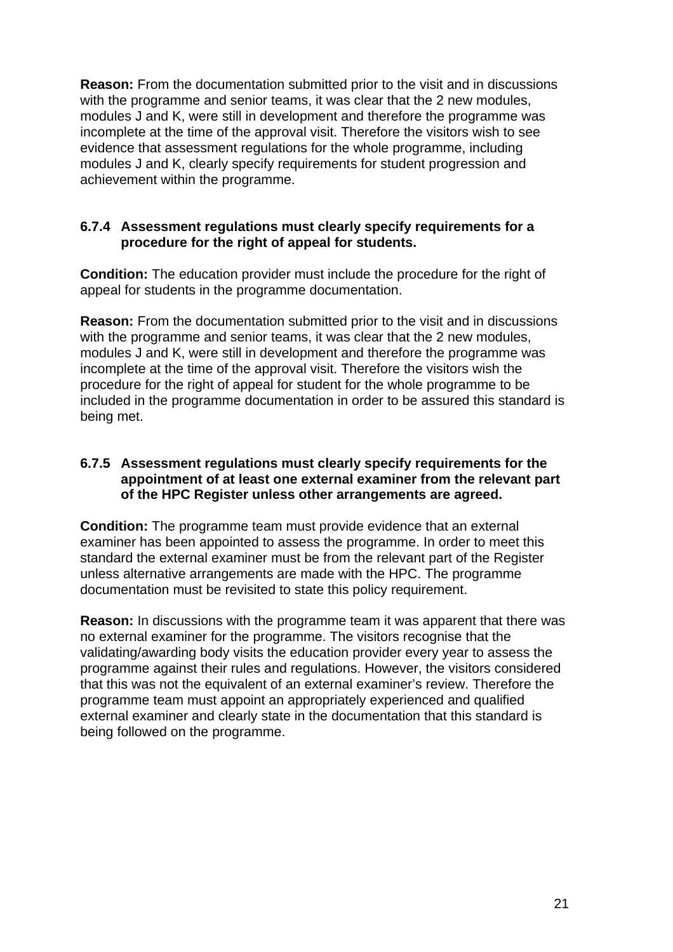**Reason:** From the documentation submitted prior to the visit and in discussions with the programme and senior teams, it was clear that the 2 new modules, modules J and K, were still in development and therefore the programme was incomplete at the time of the approval visit. Therefore the visitors wish to see evidence that assessment regulations for the whole programme, including modules J and K, clearly specify requirements for student progression and achievement within the programme.

# **6.7.4 Assessment regulations must clearly specify requirements for a procedure for the right of appeal for students.**

**Condition:** The education provider must include the procedure for the right of appeal for students in the programme documentation.

**Reason:** From the documentation submitted prior to the visit and in discussions with the programme and senior teams, it was clear that the 2 new modules, modules J and K, were still in development and therefore the programme was incomplete at the time of the approval visit. Therefore the visitors wish the procedure for the right of appeal for student for the whole programme to be included in the programme documentation in order to be assured this standard is being met.

# **6.7.5 Assessment regulations must clearly specify requirements for the appointment of at least one external examiner from the relevant part of the HPC Register unless other arrangements are agreed.**

**Condition:** The programme team must provide evidence that an external examiner has been appointed to assess the programme. In order to meet this standard the external examiner must be from the relevant part of the Register unless alternative arrangements are made with the HPC. The programme documentation must be revisited to state this policy requirement.

**Reason:** In discussions with the programme team it was apparent that there was no external examiner for the programme. The visitors recognise that the validating/awarding body visits the education provider every year to assess the programme against their rules and regulations. However, the visitors considered that this was not the equivalent of an external examiner's review. Therefore the programme team must appoint an appropriately experienced and qualified external examiner and clearly state in the documentation that this standard is being followed on the programme.